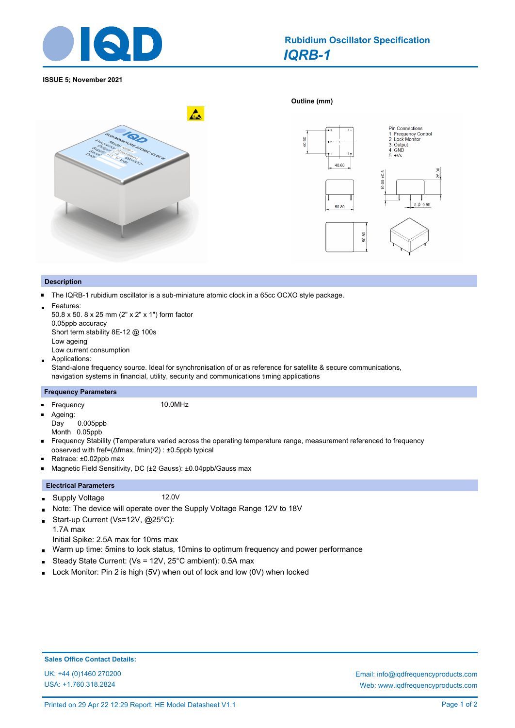

# *IQRB-1* **Rubidium Oscillator Specification**

**Outline (mm)** 

#### **ISSUE 5; November 2021**





### **Description**

- The IQRB-1 rubidium oscillator is a sub-miniature atomic clock in a 65cc OCXO style package.  $\blacksquare$
- Features:

50.8 x 50. 8 x 25 mm (2" x 2" x 1") form factor 0.05ppb accuracy Short term stability 8E-12 @ 100s Low ageing Low current consumption

Applications:

Stand-alone frequency source. Ideal for synchronisation of or as reference for satellite & secure communications, navigation systems in financial, utility, security and communications timing applications

#### **Frequency Parameters**

Frequency 10.0MHz  $\blacksquare$ 

 $\blacksquare$ Ageing: Day 0.005ppb Month 0.05ppb

Frequency Stability (Temperature varied across the operating temperature range, measurement referenced to frequency  $\blacksquare$ observed with fref=(Δfmax, fmin)/2) : ±0.5ppb typical

- Retrace: ±0.02ppb max
- Magnetic Field Sensitivity, DC (±2 Gauss): ±0.04ppb/Gauss max  $\blacksquare$

## **Electrical Parameters**

- Supply Voltage 12.0V  $\blacksquare$
- Note: The device will operate over the Supply Voltage Range 12V to 18V  $\blacksquare$
- Start-up Current (Vs=12V, @25°C):  $\blacksquare$
- 1.7A max Initial Spike: 2.5A max for 10ms max
- Warm up time: 5mins to lock status, 10mins to optimum frequency and power performance  $\blacksquare$
- Steady State Current: (Vs = 12V, 25°C ambient): 0.5A max o.
- Lock Monitor: Pin 2 is high (5V) when out of lock and low (0V) when locked  $\blacksquare$

USA: +1.760.318.2824

UK: +44 (0)1460 270200 Email: info@iqdfrequencyproducts.com Web: www.iqdfrequencyproducts.com